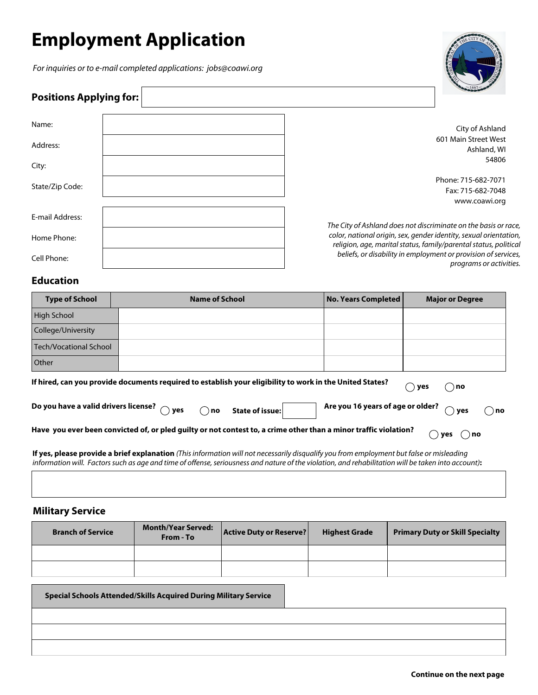# **Employment Application**

*For inquiries or to e-mail completed applications: jobs@coawi.org*

 $\Gamma$ 



| <b>Positions Applying for:</b> |                                                                                                                                       |
|--------------------------------|---------------------------------------------------------------------------------------------------------------------------------------|
| Name:                          | City of Ashland                                                                                                                       |
| Address:                       | 601 Main Street West<br>Ashland, WI                                                                                                   |
| City:                          | 54806                                                                                                                                 |
| State/Zip Code:                | Phone: 715-682-7071<br>Fax: 715-682-7048                                                                                              |
|                                | www.coawi.org                                                                                                                         |
| E-mail Address:                | The City of Ashland does not discriminate on the basis or race,                                                                       |
| Home Phone:                    | color, national origin, sex, gender identity, sexual orientation,<br>religion, age, marital status, family/parental status, political |
| Cell Phone:                    | beliefs, or disability in employment or provision of services,<br>programs or activities.                                             |

### **Education**

| <b>Type of School</b>                                                                                                                                                                                                                                         | <b>Name of School</b>                                                                                                                                                                                                                                                                           | <b>No. Years Completed</b> | <b>Major or Degree</b> |  |  |  |
|---------------------------------------------------------------------------------------------------------------------------------------------------------------------------------------------------------------------------------------------------------------|-------------------------------------------------------------------------------------------------------------------------------------------------------------------------------------------------------------------------------------------------------------------------------------------------|----------------------------|------------------------|--|--|--|
| <b>High School</b>                                                                                                                                                                                                                                            |                                                                                                                                                                                                                                                                                                 |                            |                        |  |  |  |
| College/University                                                                                                                                                                                                                                            |                                                                                                                                                                                                                                                                                                 |                            |                        |  |  |  |
| <b>Tech/Vocational School</b>                                                                                                                                                                                                                                 |                                                                                                                                                                                                                                                                                                 |                            |                        |  |  |  |
| Other                                                                                                                                                                                                                                                         |                                                                                                                                                                                                                                                                                                 |                            |                        |  |  |  |
| If hired, can you provide documents required to establish your eligibility to work in the United States?<br>no (<br>ves<br>Do you have a valid drivers license? $\bigcirc$ yes<br>Are you 16 years of age or older?<br>ົ ) no<br>State of issue:<br>ves<br>no |                                                                                                                                                                                                                                                                                                 |                            |                        |  |  |  |
| Have you ever been convicted of, or pled guilty or not contest to, a crime other than a minor traffic violation?<br>$( )$ no<br>yes                                                                                                                           |                                                                                                                                                                                                                                                                                                 |                            |                        |  |  |  |
|                                                                                                                                                                                                                                                               | If yes, please provide a brief explanation (This information will not necessarily disqualify you from employment but false or misleading<br>information will. Factors such as age and time of offense, seriousness and nature of the violation, and rehabilitation will be taken into account): |                            |                        |  |  |  |

### **Military Service**

| <b>Branch of Service</b> | <b>Month/Year Served:</b><br>From - To | Active Duty or Reserve? | <b>Highest Grade</b> | <b>Primary Duty or Skill Specialty</b> |
|--------------------------|----------------------------------------|-------------------------|----------------------|----------------------------------------|
|                          |                                        |                         |                      |                                        |
|                          |                                        |                         |                      |                                        |

| <b>Special Schools Attended/Skills Acquired During Military Service</b> |  |
|-------------------------------------------------------------------------|--|
|                                                                         |  |
|                                                                         |  |
|                                                                         |  |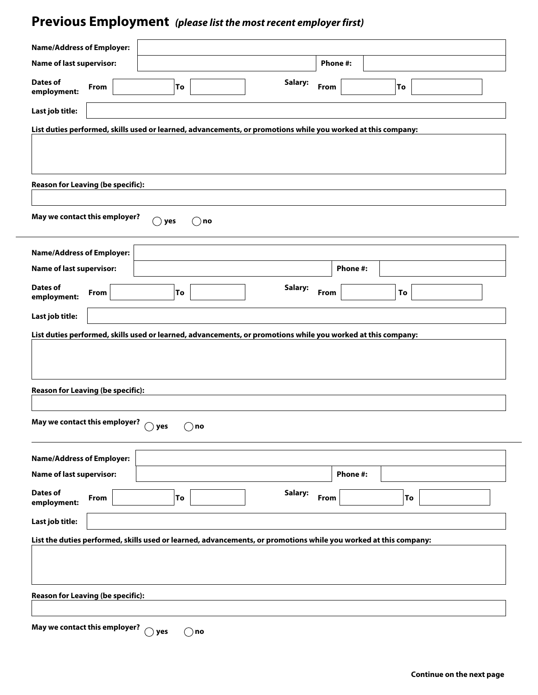# **Previous Employment** *(please list the most recent employer first)*

| <b>Name/Address of Employer:</b>                                                                             |                                                                                                                  |         |          |                 |    |  |  |
|--------------------------------------------------------------------------------------------------------------|------------------------------------------------------------------------------------------------------------------|---------|----------|-----------------|----|--|--|
| <b>Name of last supervisor:</b>                                                                              |                                                                                                                  |         | Phone #: |                 |    |  |  |
| <b>Dates of</b><br>From<br>employment:                                                                       | To                                                                                                               | Salary: | From     |                 | To |  |  |
| Last job title:                                                                                              |                                                                                                                  |         |          |                 |    |  |  |
|                                                                                                              | List duties performed, skills used or learned, advancements, or promotions while you worked at this company:     |         |          |                 |    |  |  |
|                                                                                                              |                                                                                                                  |         |          |                 |    |  |  |
| <b>Reason for Leaving (be specific):</b>                                                                     |                                                                                                                  |         |          |                 |    |  |  |
| May we contact this employer?                                                                                | $($ $)$ yes<br>$( \ )$<br>no                                                                                     |         |          |                 |    |  |  |
| <b>Name/Address of Employer:</b>                                                                             |                                                                                                                  |         |          |                 |    |  |  |
| <b>Name of last supervisor:</b>                                                                              |                                                                                                                  |         |          | Phone #:        |    |  |  |
| <b>Dates of</b><br><b>From</b><br>employment:                                                                | To                                                                                                               | Salary: | From     |                 | To |  |  |
| Last job title:                                                                                              |                                                                                                                  |         |          |                 |    |  |  |
| List duties performed, skills used or learned, advancements, or promotions while you worked at this company: |                                                                                                                  |         |          |                 |    |  |  |
| <b>Reason for Leaving (be specific):</b>                                                                     |                                                                                                                  |         |          |                 |    |  |  |
| May we contact this employer?                                                                                | $\bigcirc$ yes<br>) no                                                                                           |         |          |                 |    |  |  |
| <b>Name/Address of Employer:</b>                                                                             |                                                                                                                  |         |          |                 |    |  |  |
| <b>Name of last supervisor:</b>                                                                              |                                                                                                                  |         |          | <b>Phone #:</b> |    |  |  |
| <b>Dates of</b><br>From<br>employment:                                                                       | To                                                                                                               | Salary: | From     |                 | To |  |  |
| Last job title:                                                                                              |                                                                                                                  |         |          |                 |    |  |  |
|                                                                                                              | List the duties performed, skills used or learned, advancements, or promotions while you worked at this company: |         |          |                 |    |  |  |
| <b>Reason for Leaving (be specific):</b>                                                                     |                                                                                                                  |         |          |                 |    |  |  |
| May we contact this employer?                                                                                | $\bigcirc$ yes<br>) no                                                                                           |         |          |                 |    |  |  |